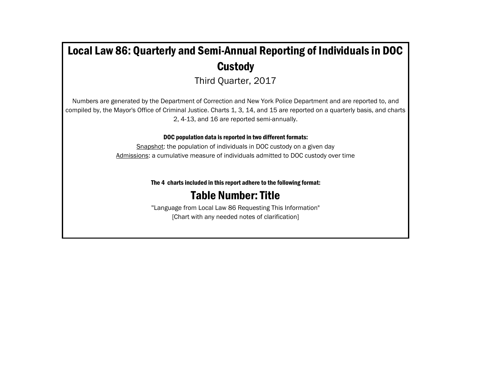# Local Law 86: Quarterly and Semi-Annual Reporting of Individuals in DOC **Custody**

Third Quarter, 2017

Numbers are generated by the Department of Correction and New York Police Department and are reported to, and compiled by, the Mayor's Office of Criminal Justice. Charts 1, 3, 14, and 15 are reported on a quarterly basis, and charts 2, 4-13, and 16 are reported semi-annually.

DOC population data is reported in two different formats:

Snapshot: the population of individuals in DOC custody on a given day Admissions: a cumulative measure of individuals admitted to DOC custody over time

The 4 charts included in this report adhere to the following format:

## Table Number: Title

"Language from Local Law 86 Requesting This Information" [Chart with any needed notes of clarification]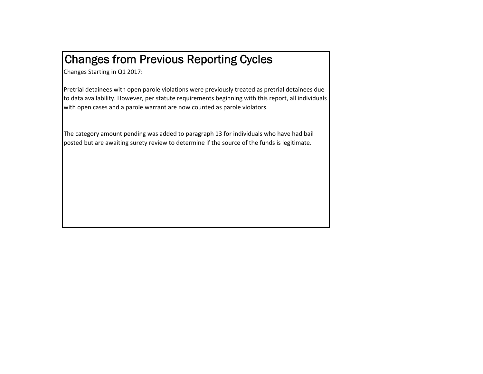# Changes from Previous Reporting Cycles

Changes Starting in Q1 2017:

Pretrial detainees with open parole violations were previously treated as pretrial detainees due to data availability. However, per statute requirements beginning with this report, all individuals with open cases and <sup>a</sup> parole warrant are now counted as parole violators.

The category amount pending was added to paragraph 13 for individuals who have had bail posted but are awaiting surety review to determine if the source of the funds is legitimate.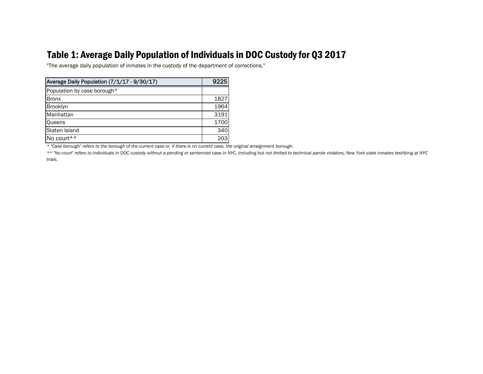### Table 1: Average Daily Population of Individuals in DOC Custody for Q3 2017

"The average daily population of inmates in the custody of the department of corrections."

| Average Daily Population (7/1/17 - 9/30/17) | 9225 |
|---------------------------------------------|------|
| Population by case borough*                 |      |
| <b>Bronx</b>                                | 1827 |
| <b>Brooklyn</b>                             | 1964 |
| Manhattan                                   | 3191 |
| <b>Queens</b>                               | 1700 |
| Staten Island                               | 340  |
| No court**                                  | 203  |

*\* "Case borough" refers to the borough of the current case or, if there is no current case, the original arraignment borough.*

*\*\* "No court" refers to individuals in DOC custody without a pending or sentenced case in NYC, including but not limited to technical parole violators, New York state inmates testifying at NYC trials.*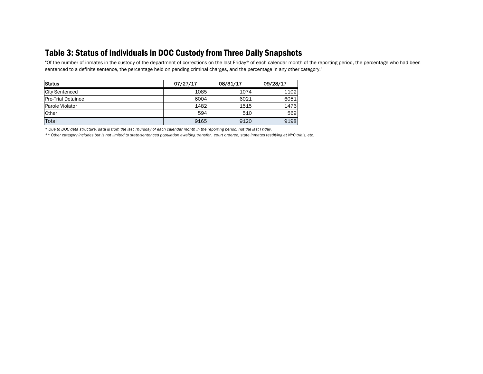### Table 3: Status of Individuals in DOC Custody from Three Daily Snapshots

"Of the number of inmates in the custody of the department of corrections on the last Friday\* of each calendar month of the reporting period, the percentage who had been sentenced to a definite sentence, the percentage held on pending criminal charges, and the percentage in any other category."

| Status                    | 07/27/17 | 08/31/17 | 09/28/17 |
|---------------------------|----------|----------|----------|
| <b>City Sentenced</b>     | 1085     | 1074     | 1102     |
| <b>Pre-Trial Detainee</b> | 6004     | 6021     | 6051     |
| Parole Violator           | 1482     | 1515     | 1476     |
| Other                     | 594      | 510      | 569      |
| Total                     | 9165     | 9120     | 9198     |

*\* Due to DOC data structure, data is from the last Thursday of each calendar month in the reporting period, not the last Friday.*

*\*\* Other category includes but is not limited to state-sentenced population awaiting transfer, court ordered, state inmates testifying at NYC trials, etc.*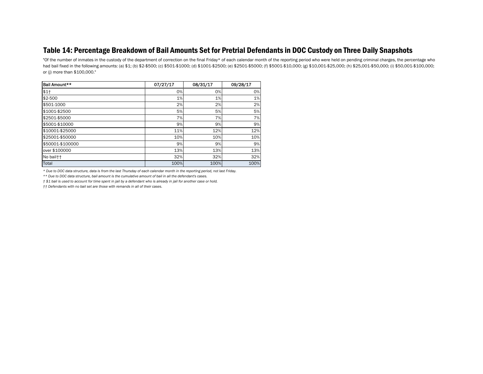#### Table 14: Percentage Breakdown of Bail Amounts Set for Pretrial Defendants in DOC Custody on Three Daily Snapshots

"Of the number of inmates in the custody of the department of correction on the final Friday\* of each calendar month of the reporting period who were held on pending criminal charges, the percentage who had bail fixed in the following amounts: (a) \$1; (b) \$2-\$500; (c) \$501-\$1000; (d) \$1001-\$2500; (e) \$2501-\$5000; (f) \$5001-\$10,000; (g) \$10,001-\$25,000; (h) \$25,001-\$50,000; (i) \$50,001-\$100,000; or (j) more than \$100,000."

| Bail Amount**    | 07/27/17 | 08/31/17 | 09/28/17 |
|------------------|----------|----------|----------|
| $$1+$            | 0%       | 0%       | 0%       |
| $$2-500$         | 1%       | 1%       | 1%       |
| \$501-1000       | 2%       | 2%       | 2%       |
| \$1001-\$2500    | 5%       | 5%       | 5%       |
| \$2501-\$5000    | 7%       | 7%       | 7%       |
| \$5001-\$10000   | 9%       | 9%       | 9%       |
| \$10001-\$25000  | 11%      | 12%      | 12%      |
| \$25001-\$50000  | 10%      | 10%      | 10%      |
| \$50001-\$100000 | 9%       | 9%       | 9%       |
| over \$100000    | 13%      | 13%      | 13%      |
| No bail††        | 32%      | 32%      | 32%      |
| Total            | 100%     | 100%     | 100%     |

*\* Due to DOC data structure, data is from the last Thursday of each calendar month in the reporting period, not last Friday.*

*\*\* Due to DOC data structure, bail amount is the cumulative amount of bail in all the defendant's cases.*

*† \$1 bail is used to account for time spent in jail by a defendant who is already in jail for another case or hold.*

*†† Defendants with no bail set are those with remands in all of their cases.*